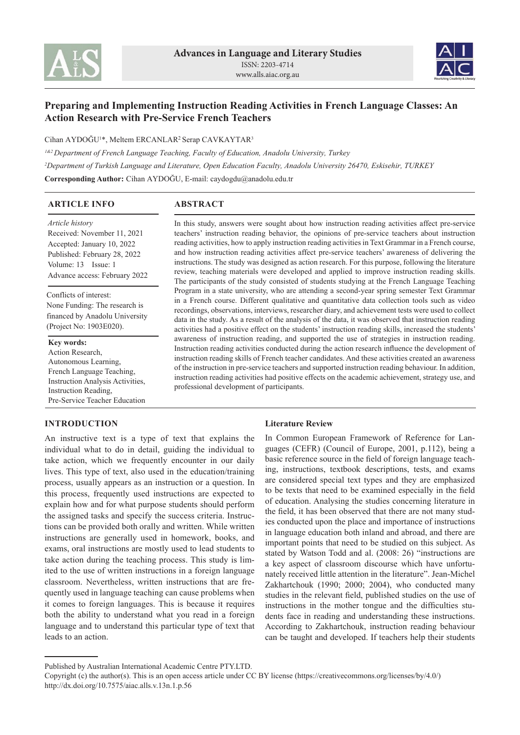



# **Preparing and Implementing Instruction Reading Activities in French Language Classes: An Action Research with Pre-Service French Teachers**

Cihan AYDOĞU<sup>1\*</sup>, Meltem ERCANLAR<sup>2</sup> Serap CAVKAYTAR<sup>3</sup>

*<sup>1</sup>&2 Department of French Language Teaching, Faculty of Education, Anadolu University, Turkey <sup>2</sup>Department of Turkish Language and Literature, Open Education Faculty, Anadolu University 26470, Eskisehir, TURKEY* **Corresponding Author:** Cihan AYDOĞU, E-mail: caydogdu@anadolu.edu.tr

| <b>ARTICLE INFO</b>                                                                                                                                                              | <b>ABSTRACT</b>                                                                                                                                                                                                                                                                                                                                                                                                                                                                                                                                                                                                                                                                                                   |  |  |  |
|----------------------------------------------------------------------------------------------------------------------------------------------------------------------------------|-------------------------------------------------------------------------------------------------------------------------------------------------------------------------------------------------------------------------------------------------------------------------------------------------------------------------------------------------------------------------------------------------------------------------------------------------------------------------------------------------------------------------------------------------------------------------------------------------------------------------------------------------------------------------------------------------------------------|--|--|--|
| <i>Article history</i><br>Received: November 11, 2021<br>Accepted: January 10, 2022<br>Published: February 28, 2022<br>Volume: 13 Issue: 1<br>Advance access: February 2022      | In this study, answers were sought about how instruction reading activities affect pre-service<br>teachers' instruction reading behavior, the opinions of pre-service teachers about instruction<br>reading activities, how to apply instruction reading activities in Text Grammar in a French course,<br>and how instruction reading activities affect pre-service teachers' awareness of delivering the<br>instructions. The study was designed as action research. For this purpose, following the literature<br>review, teaching materials were developed and applied to improve instruction reading skills.<br>The participants of the study consisted of students studying at the French Language Teaching |  |  |  |
| Conflicts of interest:<br>None Funding: The research is<br>financed by Anadolu University<br>(Project No: 1903E020).                                                             | Program in a state university, who are attending a second-year spring semester Text Grammar<br>in a French course. Different qualitative and quantitative data collection tools such as video<br>recordings, observations, interviews, researcher diary, and achievement tests were used to collect<br>data in the study. As a result of the analysis of the data, it was observed that instruction reading<br>activities had a positive effect on the students' instruction reading skills, increased the students'                                                                                                                                                                                              |  |  |  |
| Key words:<br>Action Research,<br>Autonomous Learning,<br>French Language Teaching,<br>Instruction Analysis Activities,<br>Instruction Reading,<br>Pre-Service Teacher Education | awareness of instruction reading, and supported the use of strategies in instruction reading.<br>Instruction reading activities conducted during the action research influence the development of<br>instruction reading skills of French teacher candidates. And these activities created an awareness<br>of the instruction in pre-service teachers and supported instruction reading behaviour. In addition,<br>instruction reading activities had positive effects on the academic achievement, strategy use, and<br>professional development of participants.                                                                                                                                                |  |  |  |

# **INTRODUCTION**

An instructive text is a type of text that explains the individual what to do in detail, guiding the individual to take action, which we frequently encounter in our daily lives. This type of text, also used in the education/training process, usually appears as an instruction or a question. In this process, frequently used instructions are expected to explain how and for what purpose students should perform the assigned tasks and specify the success criteria. Instructions can be provided both orally and written. While written instructions are generally used in homework, books, and exams, oral instructions are mostly used to lead students to take action during the teaching process. This study is limited to the use of written instructions in a foreign language classroom. Nevertheless, written instructions that are frequently used in language teaching can cause problems when it comes to foreign languages. This is because it requires both the ability to understand what you read in a foreign language and to understand this particular type of text that leads to an action.

# **Literature Review**

In Common European Framework of Reference for Languages (CEFR) (Council of Europe, 2001, p.112), being a basic reference source in the field of foreign language teaching, instructions, textbook descriptions, tests, and exams are considered special text types and they are emphasized to be texts that need to be examined especially in the field of education. Analysing the studies concerning literature in the field, it has been observed that there are not many studies conducted upon the place and importance of instructions in language education both inland and abroad, and there are important points that need to be studied on this subject. As stated by Watson Todd and al. (2008: 26) "instructions are a key aspect of classroom discourse which have unfortunately received little attention in the literature". Jean-Michel Zakhartchouk (1990; 2000; 2004), who conducted many studies in the relevant field, published studies on the use of instructions in the mother tongue and the difficulties students face in reading and understanding these instructions. According to Zakhartchouk, instruction reading behaviour can be taught and developed. If teachers help their students

Published by Australian International Academic Centre PTY.LTD.

Copyright (c) the author(s). This is an open access article under CC BY license (https://creativecommons.org/licenses/by/4.0/) http://dx.doi.org/10.7575/aiac.alls.v.13n.1.p.56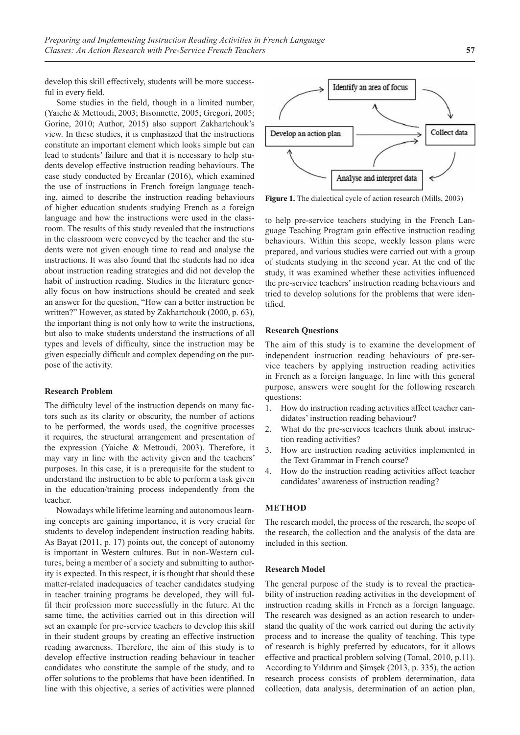develop this skill effectively, students will be more successful in every field.

Some studies in the field, though in a limited number, (Yaiche & Mettoudi, 2003; Bisonnette, 2005; Gregori, 2005; Gorine, 2010; Author, 2015) also support Zakhartchouk's view. In these studies, it is emphasized that the instructions constitute an important element which looks simple but can lead to students' failure and that it is necessary to help students develop effective instruction reading behaviours. The case study conducted by Ercanlar (2016), which examined the use of instructions in French foreign language teaching, aimed to describe the instruction reading behaviours of higher education students studying French as a foreign language and how the instructions were used in the classroom. The results of this study revealed that the instructions in the classroom were conveyed by the teacher and the students were not given enough time to read and analyse the instructions. It was also found that the students had no idea about instruction reading strategies and did not develop the habit of instruction reading. Studies in the literature generally focus on how instructions should be created and seek an answer for the question, "How can a better instruction be written?" However, as stated by Zakhartchouk (2000, p. 63), the important thing is not only how to write the instructions, but also to make students understand the instructions of all types and levels of difficulty, since the instruction may be given especially difficult and complex depending on the purpose of the activity.

### **Research Problem**

The difficulty level of the instruction depends on many factors such as its clarity or obscurity, the number of actions to be performed, the words used, the cognitive processes it requires, the structural arrangement and presentation of the expression (Yaiche & Mettoudi, 2003). Therefore, it may vary in line with the activity given and the teachers' purposes. In this case, it is a prerequisite for the student to understand the instruction to be able to perform a task given in the education/training process independently from the teacher.

Nowadays while lifetime learning and autonomous learning concepts are gaining importance, it is very crucial for students to develop independent instruction reading habits. As Bayat (2011, p. 17) points out, the concept of autonomy is important in Western cultures. But in non-Western cultures, being a member of a society and submitting to authority is expected. In this respect, it is thought that should these matter-related inadequacies of teacher candidates studying in teacher training programs be developed, they will fulfil their profession more successfully in the future. At the same time, the activities carried out in this direction will set an example for pre-service teachers to develop this skill in their student groups by creating an effective instruction reading awareness. Therefore, the aim of this study is to develop effective instruction reading behaviour in teacher candidates who constitute the sample of the study, and to offer solutions to the problems that have been identified. In line with this objective, a series of activities were planned



**Figure 1.** The dialectical cycle of action research (Mills, 2003)

to help pre-service teachers studying in the French Language Teaching Program gain effective instruction reading behaviours. Within this scope, weekly lesson plans were prepared, and various studies were carried out with a group of students studying in the second year. At the end of the study, it was examined whether these activities influenced the pre-service teachers' instruction reading behaviours and tried to develop solutions for the problems that were identified.

### **Research Questions**

The aim of this study is to examine the development of independent instruction reading behaviours of pre-service teachers by applying instruction reading activities in French as a foreign language. In line with this general purpose, answers were sought for the following research questions:

- 1. How do instruction reading activities affect teacher candidates' instruction reading behaviour?
- 2. What do the pre-services teachers think about instruction reading activities?
- 3. How are instruction reading activities implemented in the Text Grammar in French course?
- 4. How do the instruction reading activities affect teacher candidates' awareness of instruction reading?

#### **METHOD**

The research model, the process of the research, the scope of the research, the collection and the analysis of the data are included in this section.

### **Research Model**

The general purpose of the study is to reveal the practicability of instruction reading activities in the development of instruction reading skills in French as a foreign language. The research was designed as an action research to understand the quality of the work carried out during the activity process and to increase the quality of teaching. This type of research is highly preferred by educators, for it allows effective and practical problem solving (Tomal, 2010, p.11). According to Yıldırım and Şimşek (2013, p. 335), the action research process consists of problem determination, data collection, data analysis, determination of an action plan,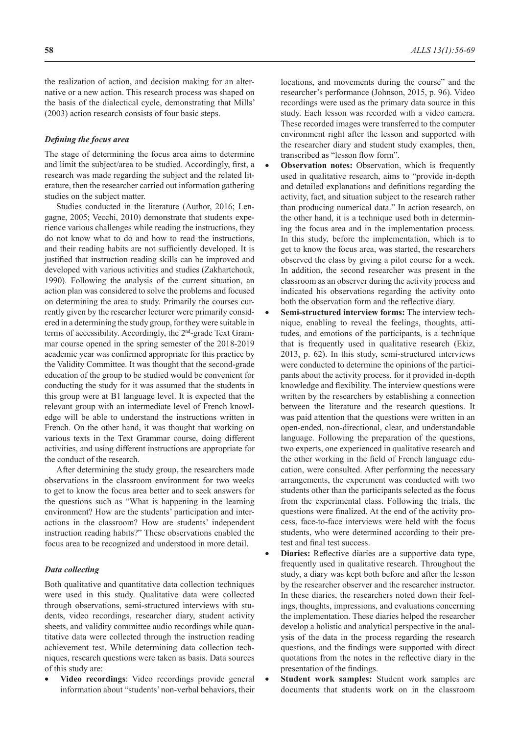the realization of action, and decision making for an alternative or a new action. This research process was shaped on the basis of the dialectical cycle, demonstrating that Mills' (2003) action research consists of four basic steps.

### *Defining the focus area*

The stage of determining the focus area aims to determine and limit the subject/area to be studied. Accordingly, first, a research was made regarding the subject and the related literature, then the researcher carried out information gathering studies on the subject matter.

Studies conducted in the literature (Author, 2016; Lengagne, 2005; Vecchi, 2010) demonstrate that students experience various challenges while reading the instructions, they do not know what to do and how to read the instructions, and their reading habits are not sufficiently developed. It is justified that instruction reading skills can be improved and developed with various activities and studies (Zakhartchouk, 1990). Following the analysis of the current situation, an action plan was considered to solve the problems and focused on determining the area to study. Primarily the courses currently given by the researcher lecturer were primarily considered in a determining the study group, for they were suitable in terms of accessibility. Accordingly, the 2<sup>nd</sup>-grade Text Grammar course opened in the spring semester of the 2018-2019 academic year was confirmed appropriate for this practice by the Validity Committee. It was thought that the second-grade education of the group to be studied would be convenient for conducting the study for it was assumed that the students in this group were at B1 language level. It is expected that the relevant group with an intermediate level of French knowledge will be able to understand the instructions written in French. On the other hand, it was thought that working on various texts in the Text Grammar course, doing different activities, and using different instructions are appropriate for the conduct of the research.

After determining the study group, the researchers made observations in the classroom environment for two weeks to get to know the focus area better and to seek answers for the questions such as "What is happening in the learning environment? How are the students' participation and interactions in the classroom? How are students' independent instruction reading habits?" These observations enabled the focus area to be recognized and understood in more detail.

#### *Data collecting*

Both qualitative and quantitative data collection techniques were used in this study. Qualitative data were collected through observations, semi-structured interviews with students, video recordings, researcher diary, student activity sheets, and validity committee audio recordings while quantitative data were collected through the instruction reading achievement test. While determining data collection techniques, research questions were taken as basis. Data sources of this study are:

• **Video recordings**: Video recordings provide general information about "students' non-verbal behaviors, their locations, and movements during the course" and the researcher's performance (Johnson, 2015, p. 96). Video recordings were used as the primary data source in this study. Each lesson was recorded with a video camera. These recorded images were transferred to the computer environment right after the lesson and supported with the researcher diary and student study examples, then, transcribed as "lesson flow form".

- **Observation notes:** Observation, which is frequently used in qualitative research, aims to "provide in-depth and detailed explanations and definitions regarding the activity, fact, and situation subject to the research rather than producing numerical data." In action research, on the other hand, it is a technique used both in determining the focus area and in the implementation process. In this study, before the implementation, which is to get to know the focus area, was started, the researchers observed the class by giving a pilot course for a week. In addition, the second researcher was present in the classroom as an observer during the activity process and indicated his observations regarding the activity onto both the observation form and the reflective diary.
- Semi-structured interview forms: The interview technique, enabling to reveal the feelings, thoughts, attitudes, and emotions of the participants, is a technique that is frequently used in qualitative research (Ekiz, 2013, p. 62). In this study, semi-structured interviews were conducted to determine the opinions of the participants about the activity process, for it provided in-depth knowledge and flexibility. The interview questions were written by the researchers by establishing a connection between the literature and the research questions. It was paid attention that the questions were written in an open-ended, non-directional, clear, and understandable language. Following the preparation of the questions, two experts, one experienced in qualitative research and the other working in the field of French language education, were consulted. After performing the necessary arrangements, the experiment was conducted with two students other than the participants selected as the focus from the experimental class. Following the trials, the questions were finalized. At the end of the activity process, face-to-face interviews were held with the focus students, who were determined according to their pretest and final test success.
- **Diaries:** Reflective diaries are a supportive data type, frequently used in qualitative research. Throughout the study, a diary was kept both before and after the lesson by the researcher observer and the researcher instructor. In these diaries, the researchers noted down their feelings, thoughts, impressions, and evaluations concerning the implementation. These diaries helped the researcher develop a holistic and analytical perspective in the analysis of the data in the process regarding the research questions, and the findings were supported with direct quotations from the notes in the reflective diary in the presentation of the findings.
- **Student work samples:** Student work samples are documents that students work on in the classroom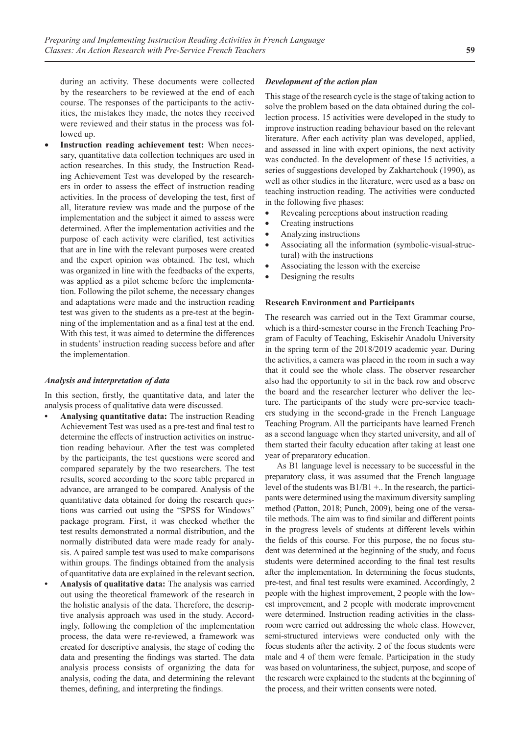during an activity. These documents were collected by the researchers to be reviewed at the end of each course. The responses of the participants to the activities, the mistakes they made, the notes they received were reviewed and their status in the process was followed up.

**Instruction reading achievement test:** When necessary, quantitative data collection techniques are used in action researches. In this study, the Instruction Reading Achievement Test was developed by the researchers in order to assess the effect of instruction reading activities. In the process of developing the test, first of all, literature review was made and the purpose of the implementation and the subject it aimed to assess were determined. After the implementation activities and the purpose of each activity were clarified, test activities that are in line with the relevant purposes were created and the expert opinion was obtained. The test, which was organized in line with the feedbacks of the experts, was applied as a pilot scheme before the implementation. Following the pilot scheme, the necessary changes and adaptations were made and the instruction reading test was given to the students as a pre-test at the beginning of the implementation and as a final test at the end. With this test, it was aimed to determine the differences in students' instruction reading success before and after the implementation.

### *Analysis and interpretation of data*

In this section, firstly, the quantitative data, and later the analysis process of qualitative data were discussed.

- **Analysing quantitative data:** The instruction Reading Achievement Test was used as a pre-test and final test to determine the effects of instruction activities on instruction reading behaviour. After the test was completed by the participants, the test questions were scored and compared separately by the two researchers. The test results, scored according to the score table prepared in advance, are arranged to be compared. Analysis of the quantitative data obtained for doing the research questions was carried out using the "SPSS for Windows" package program. First, it was checked whether the test results demonstrated a normal distribution, and the normally distributed data were made ready for analysis. A paired sample test was used to make comparisons within groups. The findings obtained from the analysis of quantitative data are explained in the relevant section**.**
- **Analysis of qualitative data:** The analysis was carried out using the theoretical framework of the research in the holistic analysis of the data. Therefore, the descriptive analysis approach was used in the study. Accordingly, following the completion of the implementation process, the data were re-reviewed, a framework was created for descriptive analysis, the stage of coding the data and presenting the findings was started. The data analysis process consists of organizing the data for analysis, coding the data, and determining the relevant themes, defining, and interpreting the findings.

### *Development of the action plan*

This stage of the research cycle is the stage of taking action to solve the problem based on the data obtained during the collection process. 15 activities were developed in the study to improve instruction reading behaviour based on the relevant literature. After each activity plan was developed, applied, and assessed in line with expert opinions, the next activity was conducted. In the development of these 15 activities, a series of suggestions developed by Zakhartchouk (1990), as well as other studies in the literature, were used as a base on teaching instruction reading. The activities were conducted in the following five phases:

- Revealing perceptions about instruction reading
- Creating instructions
- Analyzing instructions
- Associating all the information (symbolic-visual-structural) with the instructions
- Associating the lesson with the exercise
- Designing the results

### **Research Environment and Participants**

The research was carried out in the Text Grammar course, which is a third-semester course in the French Teaching Program of Faculty of Teaching, Eskisehir Anadolu University in the spring term of the 2018/2019 academic year. During the activities, a camera was placed in the room in such a way that it could see the whole class. The observer researcher also had the opportunity to sit in the back row and observe the board and the researcher lecturer who deliver the lecture. The participants of the study were pre-service teachers studying in the second-grade in the French Language Teaching Program. All the participants have learned French as a second language when they started university, and all of them started their faculty education after taking at least one year of preparatory education.

As B1 language level is necessary to be successful in the preparatory class, it was assumed that the French language level of the students was  $B1/B1 +$ .. In the research, the participants were determined using the maximum diversity sampling method (Patton, 2018; Punch, 2009), being one of the versatile methods. The aim was to find similar and different points in the progress levels of students at different levels within the fields of this course. For this purpose, the no focus student was determined at the beginning of the study, and focus students were determined according to the final test results after the implementation. In determining the focus students, pre-test, and final test results were examined. Accordingly, 2 people with the highest improvement, 2 people with the lowest improvement, and 2 people with moderate improvement were determined. Instruction reading activities in the classroom were carried out addressing the whole class. However, semi-structured interviews were conducted only with the focus students after the activity. 2 of the focus students were male and 4 of them were female. Participation in the study was based on voluntariness, the subject, purpose, and scope of the research were explained to the students at the beginning of the process, and their written consents were noted.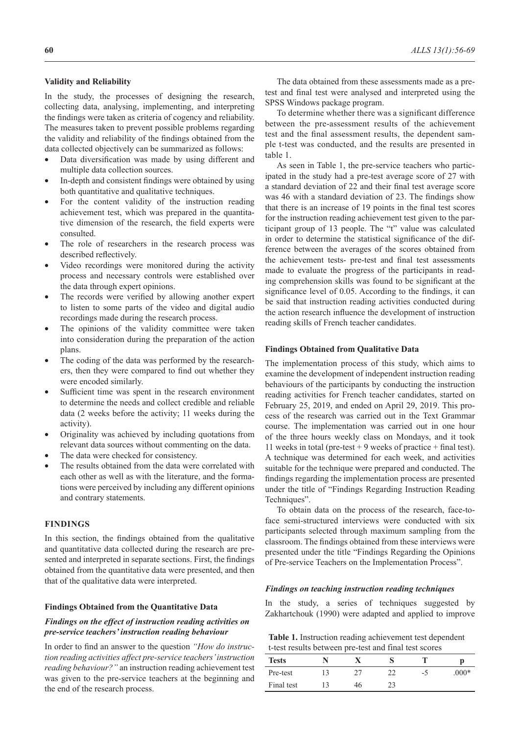# **Validity and Reliability**

In the study, the processes of designing the research, collecting data, analysing, implementing, and interpreting the findings were taken as criteria of cogency and reliability. The measures taken to prevent possible problems regarding the validity and reliability of the findings obtained from the data collected objectively can be summarized as follows:

- Data diversification was made by using different and multiple data collection sources.
- In-depth and consistent findings were obtained by using both quantitative and qualitative techniques.
- For the content validity of the instruction reading achievement test, which was prepared in the quantitative dimension of the research, the field experts were consulted.
- The role of researchers in the research process was described reflectively.
- Video recordings were monitored during the activity process and necessary controls were established over the data through expert opinions.
- The records were verified by allowing another expert to listen to some parts of the video and digital audio recordings made during the research process.
- The opinions of the validity committee were taken into consideration during the preparation of the action plans.
- The coding of the data was performed by the researchers, then they were compared to find out whether they were encoded similarly.
- Sufficient time was spent in the research environment to determine the needs and collect credible and reliable data (2 weeks before the activity; 11 weeks during the activity).
- Originality was achieved by including quotations from relevant data sources without commenting on the data.
- The data were checked for consistency.
- The results obtained from the data were correlated with each other as well as with the literature, and the formations were perceived by including any different opinions and contrary statements.

### **FINDINGS**

In this section, the findings obtained from the qualitative and quantitative data collected during the research are presented and interpreted in separate sections. First, the findings obtained from the quantitative data were presented, and then that of the qualitative data were interpreted.

### **Findings Obtained from the Quantitative Data**

# *Findings on the effect of instruction reading activities on pre-service teachers' instruction reading behaviour*

In order to find an answer to the question *"How do instruction reading activities affect pre-service teachers' instruction reading behaviour?"* an instruction reading achievement test was given to the pre-service teachers at the beginning and the end of the research process.

The data obtained from these assessments made as a pretest and final test were analysed and interpreted using the SPSS Windows package program.

To determine whether there was a significant difference between the pre-assessment results of the achievement test and the final assessment results, the dependent sample t-test was conducted, and the results are presented in table 1.

As seen in Table 1, the pre-service teachers who participated in the study had a pre-test average score of 27 with a standard deviation of 22 and their final test average score was 46 with a standard deviation of 23. The findings show that there is an increase of 19 points in the final test scores for the instruction reading achievement test given to the participant group of 13 people. The "t" value was calculated in order to determine the statistical significance of the difference between the averages of the scores obtained from the achievement tests- pre-test and final test assessments made to evaluate the progress of the participants in reading comprehension skills was found to be significant at the significance level of 0.05. According to the findings, it can be said that instruction reading activities conducted during the action research influence the development of instruction reading skills of French teacher candidates.

### **Findings Obtained from Qualitative Data**

The implementation process of this study, which aims to examine the development of independent instruction reading behaviours of the participants by conducting the instruction reading activities for French teacher candidates, started on February 25, 2019, and ended on April 29, 2019. This process of the research was carried out in the Text Grammar course. The implementation was carried out in one hour of the three hours weekly class on Mondays, and it took 11 weeks in total (pre-test  $+9$  weeks of practice  $+$  final test). A technique was determined for each week, and activities suitable for the technique were prepared and conducted. The findings regarding the implementation process are presented under the title of "Findings Regarding Instruction Reading Techniques".

To obtain data on the process of the research, face-toface semi-structured interviews were conducted with six participants selected through maximum sampling from the classroom. The findings obtained from these interviews were presented under the title "Findings Regarding the Opinions of Pre-service Teachers on the Implementation Process".

#### *Findings on teaching instruction reading techniques*

In the study, a series of techniques suggested by Zakhartchouk (1990) were adapted and applied to improve

**Table 1.** Instruction reading achievement test dependent t-test results between pre-test and final test scores

| <b>Tests</b> |    |    |         |
|--------------|----|----|---------|
| Pre-test     |    | -0 | $.000*$ |
| Final test   | 46 |    |         |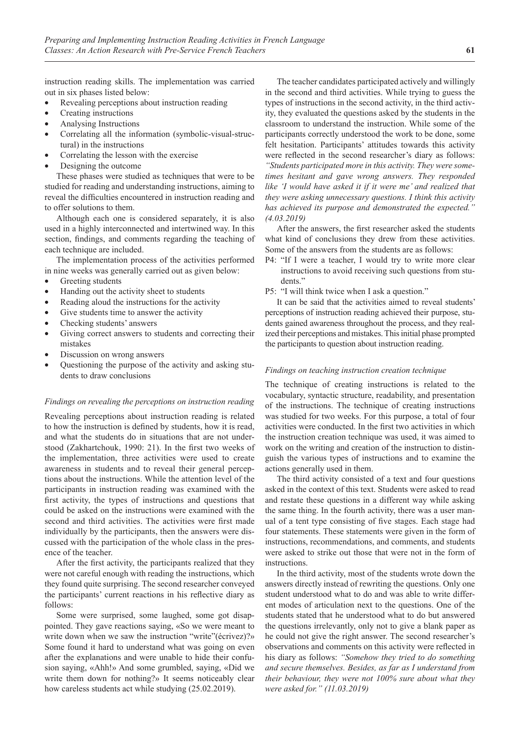instruction reading skills. The implementation was carried out in six phases listed below:

- Revealing perceptions about instruction reading
- Creating instructions
- Analysing Instructions
- Correlating all the information (symbolic-visual-structural) in the instructions
- Correlating the lesson with the exercise
- Designing the outcome

These phases were studied as techniques that were to be studied for reading and understanding instructions, aiming to reveal the difficulties encountered in instruction reading and to offer solutions to them.

Although each one is considered separately, it is also used in a highly interconnected and intertwined way. In this section, findings, and comments regarding the teaching of each technique are included.

The implementation process of the activities performed in nine weeks was generally carried out as given below:

- Greeting students
- Handing out the activity sheet to students
- Reading aloud the instructions for the activity
- Give students time to answer the activity
- Checking students' answers
- Giving correct answers to students and correcting their mistakes
- Discussion on wrong answers
- Questioning the purpose of the activity and asking students to draw conclusions

### *Findings on revealing the perceptions on instruction reading*

Revealing perceptions about instruction reading is related to how the instruction is defined by students, how it is read, and what the students do in situations that are not understood (Zakhartchouk, 1990: 21). In the first two weeks of the implementation, three activities were used to create awareness in students and to reveal their general perceptions about the instructions. While the attention level of the participants in instruction reading was examined with the first activity, the types of instructions and questions that could be asked on the instructions were examined with the second and third activities. The activities were first made individually by the participants, then the answers were discussed with the participation of the whole class in the presence of the teacher.

After the first activity, the participants realized that they were not careful enough with reading the instructions, which they found quite surprising. The second researcher conveyed the participants' current reactions in his reflective diary as follows:

Some were surprised, some laughed, some got disappointed. They gave reactions saying, «So we were meant to write down when we saw the instruction "write"(écrivez)?» Some found it hard to understand what was going on even after the explanations and were unable to hide their confusion saying, «Ahh!» And some grumbled, saying, «Did we write them down for nothing?» It seems noticeably clear how careless students act while studying (25.02.2019).

The teacher candidates participated actively and willingly in the second and third activities. While trying to guess the types of instructions in the second activity, in the third activity, they evaluated the questions asked by the students in the classroom to understand the instruction. While some of the participants correctly understood the work to be done, some felt hesitation. Participants' attitudes towards this activity were reflected in the second researcher's diary as follows: *"Students participated more in this activity. They were sometimes hesitant and gave wrong answers. They responded like 'I would have asked it if it were me' and realized that they were asking unnecessary questions. I think this activity has achieved its purpose and demonstrated the expected." (4.03.2019)*

After the answers, the first researcher asked the students what kind of conclusions they drew from these activities. Some of the answers from the students are as follows:

- P4: "If I were a teacher, I would try to write more clear instructions to avoid receiving such questions from students."
- P5: "I will think twice when I ask a question."

It can be said that the activities aimed to reveal students' perceptions of instruction reading achieved their purpose, students gained awareness throughout the process, and they realized their perceptions and mistakes. This initial phase prompted the participants to question about instruction reading.

### *Findings on teaching instruction creation technique*

The technique of creating instructions is related to the vocabulary, syntactic structure, readability, and presentation of the instructions. The technique of creating instructions was studied for two weeks. For this purpose, a total of four activities were conducted. In the first two activities in which the instruction creation technique was used, it was aimed to work on the writing and creation of the instruction to distinguish the various types of instructions and to examine the actions generally used in them.

The third activity consisted of a text and four questions asked in the context of this text. Students were asked to read and restate these questions in a different way while asking the same thing. In the fourth activity, there was a user manual of a tent type consisting of five stages. Each stage had four statements. These statements were given in the form of instructions, recommendations, and comments, and students were asked to strike out those that were not in the form of instructions.

In the third activity, most of the students wrote down the answers directly instead of rewriting the questions. Only one student understood what to do and was able to write different modes of articulation next to the questions. One of the students stated that he understood what to do but answered the questions irrelevantly, only not to give a blank paper as he could not give the right answer. The second researcher's observations and comments on this activity were reflected in his diary as follows: *"Somehow they tried to do something and secure themselves. Besides, as far as I understand from their behaviour, they were not 100% sure about what they were asked for." (11.03.2019)*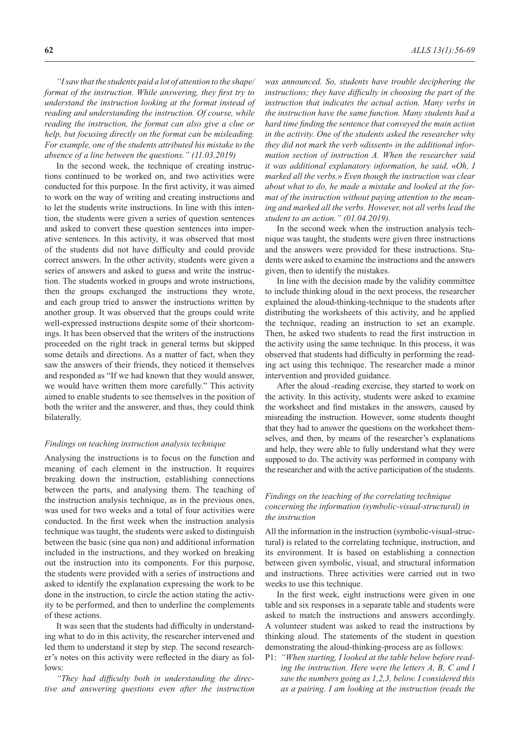*"I saw that the students paid a lot of attention to the shape/ format of the instruction. While answering, they first try to understand the instruction looking at the format instead of reading and understanding the instruction. Of course, while reading the instruction, the format can also give a clue or help, but focusing directly on the format can be misleading. For example, one of the students attributed his mistake to the absence of a line between the questions." (11.03.2019)*

In the second week, the technique of creating instructions continued to be worked on, and two activities were conducted for this purpose. In the first activity, it was aimed to work on the way of writing and creating instructions and to let the students write instructions. In line with this intention, the students were given a series of question sentences and asked to convert these question sentences into imperative sentences. In this activity, it was observed that most of the students did not have difficulty and could provide correct answers. In the other activity, students were given a series of answers and asked to guess and write the instruction. The students worked in groups and wrote instructions, then the groups exchanged the instructions they wrote, and each group tried to answer the instructions written by another group. It was observed that the groups could write well-expressed instructions despite some of their shortcomings. It has been observed that the writers of the instructions proceeded on the right track in general terms but skipped some details and directions. As a matter of fact, when they saw the answers of their friends, they noticed it themselves and responded as "If we had known that they would answer, we would have written them more carefully." This activity aimed to enable students to see themselves in the position of both the writer and the answerer, and thus, they could think bilaterally.

### *Findings on teaching instruction analysis technique*

Analysing the instructions is to focus on the function and meaning of each element in the instruction. It requires breaking down the instruction, establishing connections between the parts, and analysing them. The teaching of the instruction analysis technique, as in the previous ones, was used for two weeks and a total of four activities were conducted. In the first week when the instruction analysis technique was taught, the students were asked to distinguish between the basic (sine qua non) and additional information included in the instructions, and they worked on breaking out the instruction into its components. For this purpose, the students were provided with a series of instructions and asked to identify the explanation expressing the work to be done in the instruction, to circle the action stating the activity to be performed, and then to underline the complements of these actions.

It was seen that the students had difficulty in understanding what to do in this activity, the researcher intervened and led them to understand it step by step. The second researcher's notes on this activity were reflected in the diary as follows:

*"They had difficulty both in understanding the directive and answering questions even after the instruction* 

*was announced. So, students have trouble deciphering the instructions; they have difficulty in choosing the part of the instruction that indicates the actual action. Many verbs in the instruction have the same function. Many students had a hard time finding the sentence that conveyed the main action in the activity. One of the students asked the researcher why they did not mark the verb* «*dissent*» *in the additional information section of instruction A. When the researcher said it was additional explanatory information, he said,* «*Oh, I marked all the verbs.*» *Even though the instruction was clear about what to do, he made a mistake and looked at the format of the instruction without paying attention to the meaning and marked all the verbs. However, not all verbs lead the student to an action." (01.04.2019).*

In the second week when the instruction analysis technique was taught, the students were given three instructions and the answers were provided for these instructions. Students were asked to examine the instructions and the answers given, then to identify the mistakes.

In line with the decision made by the validity committee to include thinking aloud in the next process, the researcher explained the aloud-thinking-technique to the students after distributing the worksheets of this activity, and he applied the technique, reading an instruction to set an example. Then, he asked two students to read the first instruction in the activity using the same technique. In this process, it was observed that students had difficulty in performing the reading act using this technique. The researcher made a minor intervention and provided guidance.

After the aloud -reading exercise, they started to work on the activity. In this activity, students were asked to examine the worksheet and find mistakes in the answers, caused by misreading the instruction. However, some students thought that they had to answer the questions on the worksheet themselves, and then, by means of the researcher's explanations and help, they were able to fully understand what they were supposed to do. The activity was performed in company with the researcher and with the active participation of the students.

# *Findings on the teaching of the correlating technique concerning the information (symbolic-visual-structural) in the instruction*

All the information in the instruction (symbolic-visual-structural) is related to the correlating technique, instruction, and its environment. It is based on establishing a connection between given symbolic, visual, and structural information and instructions. Three activities were carried out in two weeks to use this technique.

In the first week, eight instructions were given in one table and six responses in a separate table and students were asked to match the instructions and answers accordingly. A volunteer student was asked to read the instructions by thinking aloud. The statements of the student in question demonstrating the aloud-thinking-process are as follows:

P1: *"When starting, I looked at the table below before reading the instruction. Here were the letters A, B, C and I saw the numbers going as 1,2,3, below. I considered this as a pairing. I am looking at the instruction (reads the*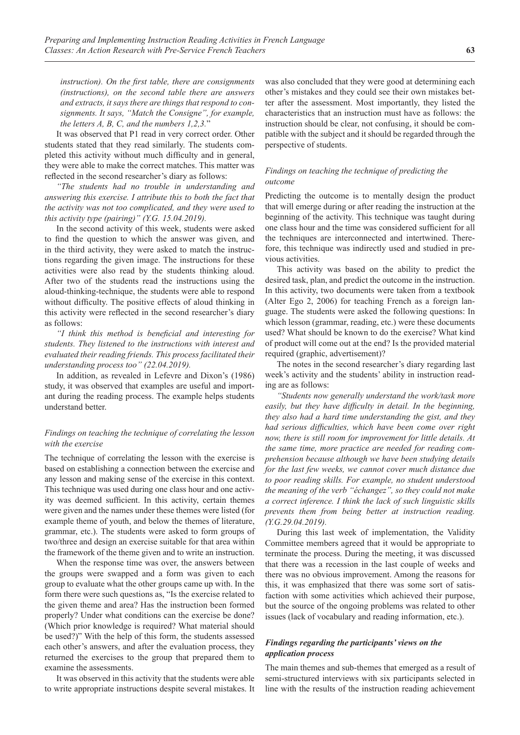*instruction). On the first table, there are consignments (instructions), on the second table there are answers and extracts, it says there are things that respond to consignments. It says, "Match the Consigne", for example, the letters A, B, C, and the numbers 1,2,3.*"

It was observed that P1 read in very correct order. Other students stated that they read similarly. The students completed this activity without much difficulty and in general, they were able to make the correct matches. This matter was reflected in the second researcher's diary as follows:

*"The students had no trouble in understanding and answering this exercise. I attribute this to both the fact that the activity was not too complicated, and they were used to this activity type (pairing)" (Y.G. 15.04.2019).*

In the second activity of this week, students were asked to find the question to which the answer was given, and in the third activity, they were asked to match the instructions regarding the given image. The instructions for these activities were also read by the students thinking aloud. After two of the students read the instructions using the aloud-thinking-technique, the students were able to respond without difficulty. The positive effects of aloud thinking in this activity were reflected in the second researcher's diary as follows:

*"I think this method is beneficial and interesting for students. They listened to the instructions with interest and evaluated their reading friends. This process facilitated their understanding process too" (22.04.2019).*

In addition, as revealed in Lefevre and Dixon's (1986) study, it was observed that examples are useful and important during the reading process. The example helps students understand better.

# *Findings on teaching the technique of correlating the lesson with the exercise*

The technique of correlating the lesson with the exercise is based on establishing a connection between the exercise and any lesson and making sense of the exercise in this context. This technique was used during one class hour and one activity was deemed sufficient. In this activity, certain themes were given and the names under these themes were listed (for example theme of youth, and below the themes of literature, grammar, etc.). The students were asked to form groups of two/three and design an exercise suitable for that area within the framework of the theme given and to write an instruction.

When the response time was over, the answers between the groups were swapped and a form was given to each group to evaluate what the other groups came up with. In the form there were such questions as, "Is the exercise related to the given theme and area? Has the instruction been formed properly? Under what conditions can the exercise be done? (Which prior knowledge is required? What material should be used?)" With the help of this form, the students assessed each other's answers, and after the evaluation process, they returned the exercises to the group that prepared them to examine the assessments.

It was observed in this activity that the students were able to write appropriate instructions despite several mistakes. It was also concluded that they were good at determining each other's mistakes and they could see their own mistakes better after the assessment. Most importantly, they listed the characteristics that an instruction must have as follows: the instruction should be clear, not confusing, it should be compatible with the subject and it should be regarded through the perspective of students.

### *Findings on teaching the technique of predicting the outcome*

Predicting the outcome is to mentally design the product that will emerge during or after reading the instruction at the beginning of the activity. This technique was taught during one class hour and the time was considered sufficient for all the techniques are interconnected and intertwined. Therefore, this technique was indirectly used and studied in previous activities.

This activity was based on the ability to predict the desired task, plan, and predict the outcome in the instruction. In this activity, two documents were taken from a textbook (Alter Ego 2, 2006) for teaching French as a foreign language. The students were asked the following questions: In which lesson (grammar, reading, etc.) were these documents used? What should be known to do the exercise? What kind of product will come out at the end? Is the provided material required (graphic, advertisement)?

The notes in the second researcher's diary regarding last week's activity and the students' ability in instruction reading are as follows:

*"Students now generally understand the work/task more easily, but they have difficulty in detail. In the beginning, they also had a hard time understanding the gist, and they had serious difficulties, which have been come over right now, there is still room for improvement for little details. At the same time, more practice are needed for reading comprehension because although we have been studying details for the last few weeks, we cannot cover much distance due to poor reading skills. For example, no student understood the meaning of the verb "échangez", so they could not make a correct inference. I think the lack of such linguistic skills prevents them from being better at instruction reading. (Y.G.29.04.2019).*

During this last week of implementation, the Validity Committee members agreed that it would be appropriate to terminate the process. During the meeting, it was discussed that there was a recession in the last couple of weeks and there was no obvious improvement. Among the reasons for this, it was emphasized that there was some sort of satisfaction with some activities which achieved their purpose, but the source of the ongoing problems was related to other issues (lack of vocabulary and reading information, etc.).

# *Findings regarding the participants' views on the application process*

The main themes and sub-themes that emerged as a result of semi-structured interviews with six participants selected in line with the results of the instruction reading achievement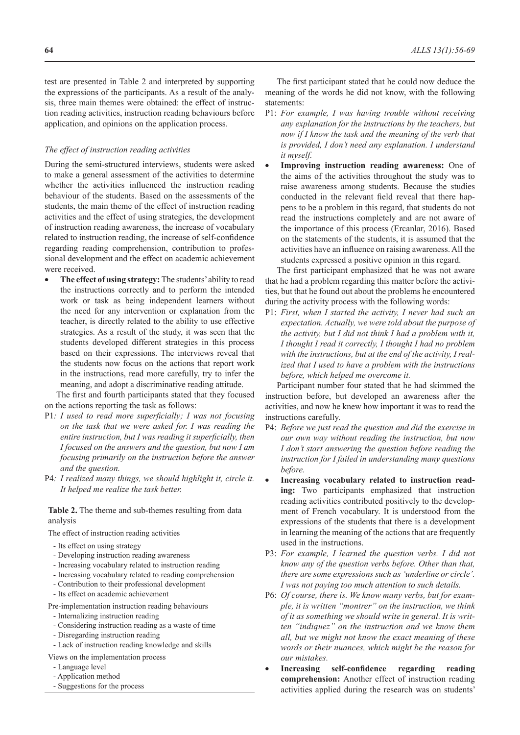test are presented in Table 2 and interpreted by supporting the expressions of the participants. As a result of the analysis, three main themes were obtained: the effect of instruction reading activities, instruction reading behaviours before application, and opinions on the application process.

### *The effect of instruction reading activities*

During the semi-structured interviews, students were asked to make a general assessment of the activities to determine whether the activities influenced the instruction reading behaviour of the students. Based on the assessments of the students, the main theme of the effect of instruction reading activities and the effect of using strategies, the development of instruction reading awareness, the increase of vocabulary related to instruction reading, the increase of self-confidence regarding reading comprehension, contribution to professional development and the effect on academic achievement were received.

The effect of using strategy: The students' ability to read the instructions correctly and to perform the intended work or task as being independent learners without the need for any intervention or explanation from the teacher, is directly related to the ability to use effective strategies. As a result of the study, it was seen that the students developed different strategies in this process based on their expressions. The interviews reveal that the students now focus on the actions that report work in the instructions, read more carefully, try to infer the meaning, and adopt a discriminative reading attitude.

The first and fourth participants stated that they focused on the actions reporting the task as follows:

- P1*: I used to read more superficially; I was not focusing on the task that we were asked for. I was reading the entire instruction, but I was reading it superficially, then I focused on the answers and the question, but now I am focusing primarily on the instruction before the answer and the question.*
- P4*: I realized many things, we should highlight it, circle it. It helped me realize the task better.*

# **Table 2.** The theme and sub-themes resulting from data analysis

The effect of instruction reading activities

- Its effect on using strategy
- Developing instruction reading awareness
- Increasing vocabulary related to instruction reading
- Increasing vocabulary related to reading comprehension
- Contribution to their professional development
- Its effect on academic achievement

Pre-implementation instruction reading behaviours

- Internalizing instruction reading
- Considering instruction reading as a waste of time
- Disregarding instruction reading
- Lack of instruction reading knowledge and skills
- Views on the implementation process
- Language level
- Application method
- Suggestions for the process

The first participant stated that he could now deduce the meaning of the words he did not know, with the following statements:

- P1: *For example, I was having trouble without receiving any explanation for the instructions by the teachers, but now if I know the task and the meaning of the verb that is provided, I don't need any explanation. I understand it myself.*
- **Improving instruction reading awareness:** One of the aims of the activities throughout the study was to raise awareness among students. Because the studies conducted in the relevant field reveal that there happens to be a problem in this regard, that students do not read the instructions completely and are not aware of the importance of this process (Ercanlar, 2016). Based on the statements of the students, it is assumed that the activities have an influence on raising awareness. All the students expressed a positive opinion in this regard.

The first participant emphasized that he was not aware that he had a problem regarding this matter before the activities, but that he found out about the problems he encountered during the activity process with the following words:

P1: *First, when I started the activity, I never had such an expectation. Actually, we were told about the purpose of the activity, but I did not think I had a problem with it, I thought I read it correctly, I thought I had no problem with the instructions, but at the end of the activity, I realized that I used to have a problem with the instructions before, which helped me overcome it.*

Participant number four stated that he had skimmed the instruction before, but developed an awareness after the activities, and now he knew how important it was to read the instructions carefully.

- P4: *Before we just read the question and did the exercise in our own way without reading the instruction, but now I don't start answering the question before reading the instruction for I failed in understanding many questions before.*
- Increasing vocabulary related to instruction read**ing:** Two participants emphasized that instruction reading activities contributed positively to the development of French vocabulary. It is understood from the expressions of the students that there is a development in learning the meaning of the actions that are frequently used in the instructions.
- P3: *For example, I learned the question verbs. I did not know any of the question verbs before. Other than that, there are some expressions such as 'underline or circle'. I was not paying too much attention to such details.*
- P6: *Of course, there is. We know many verbs, but for example, it is written "montrer" on the instruction, we think of it as something we should write in general. It is written "indiquez" on the instruction and we know them all, but we might not know the exact meaning of these words or their nuances, which might be the reason for our mistakes.*
- **Increasing** self-confidence regarding reading **comprehension:** Another effect of instruction reading activities applied during the research was on students'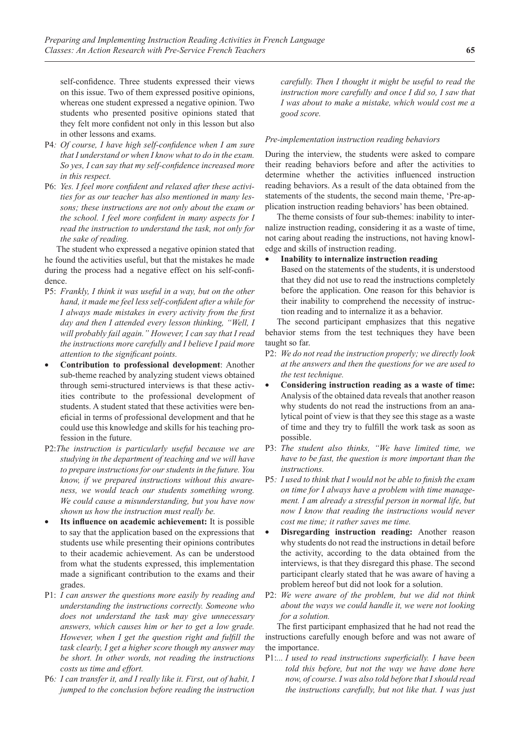self-confidence. Three students expressed their views on this issue. Two of them expressed positive opinions, whereas one student expressed a negative opinion. Two students who presented positive opinions stated that they felt more confident not only in this lesson but also in other lessons and exams.

- P4*: Of course, I have high self-confidence when I am sure that I understand or when I know what to do in the exam. So yes, I can say that my self-confidence increased more in this respect.*
- P6: *Yes. I feel more confident and relaxed after these activities for as our teacher has also mentioned in many lessons; these instructions are not only about the exam or the school. I feel more confident in many aspects for I read the instruction to understand the task, not only for the sake of reading.*

The student who expressed a negative opinion stated that he found the activities useful, but that the mistakes he made during the process had a negative effect on his self-confidence.

- P5: *Frankly, I think it was useful in a way, but on the other hand, it made me feel less self-confident after a while for I always made mistakes in every activity from the first day and then I attended every lesson thinking, "Well, I will probably fail again." However, I can say that I read the instructions more carefully and I believe I paid more attention to the significant points.*
- **Contribution to professional development**: Another sub-theme reached by analyzing student views obtained through semi-structured interviews is that these activities contribute to the professional development of students. A student stated that these activities were beneficial in terms of professional development and that he could use this knowledge and skills for his teaching profession in the future.
- P2:*The instruction is particularly useful because we are studying in the department of teaching and we will have to prepare instructions for our students in the future. You know, if we prepared instructions without this awareness, we would teach our students something wrong. We could cause a misunderstanding, but you have now shown us how the instruction must really be.*
- **Its influence on academic achievement:** It is possible to say that the application based on the expressions that students use while presenting their opinions contributes to their academic achievement. As can be understood from what the students expressed, this implementation made a significant contribution to the exams and their grades.
- P1: *I can answer the questions more easily by reading and understanding the instructions correctly. Someone who does not understand the task may give unnecessary answers, which causes him or her to get a low grade. However, when I get the question right and fulfill the task clearly, I get a higher score though my answer may be short. In other words, not reading the instructions costs us time and effort.*
- P6*: I can transfer it, and I really like it. First, out of habit, I jumped to the conclusion before reading the instruction*

*carefully. Then I thought it might be useful to read the instruction more carefully and once I did so, I saw that I was about to make a mistake, which would cost me a good score.*

### *Pre-implementation instruction reading behaviors*

During the interview, the students were asked to compare their reading behaviors before and after the activities to determine whether the activities influenced instruction reading behaviors. As a result of the data obtained from the statements of the students, the second main theme, 'Pre-application instruction reading behaviors' has been obtained.

The theme consists of four sub-themes: inability to internalize instruction reading, considering it as a waste of time, not caring about reading the instructions, not having knowledge and skills of instruction reading.

- **Inability to internalize instruction reading**
	- Based on the statements of the students, it is understood that they did not use to read the instructions completely before the application. One reason for this behavior is their inability to comprehend the necessity of instruction reading and to internalize it as a behavior.

The second participant emphasizes that this negative behavior stems from the test techniques they have been taught so far.

- P2: *We do not read the instruction properly; we directly look at the answers and then the questions for we are used to the test technique.*
- **Considering instruction reading as a waste of time:** Analysis of the obtained data reveals that another reason why students do not read the instructions from an analytical point of view is that they see this stage as a waste of time and they try to fulfill the work task as soon as possible.
- P3: *The student also thinks, "We have limited time, we have to be fast, the question is more important than the instructions.*
- P5*: I used to think that I would not be able to finish the exam on time for I always have a problem with time management. I am already a stressful person in normal life, but now I know that reading the instructions would never cost me time; it rather saves me time.*
- **Disregarding instruction reading:** Another reason why students do not read the instructions in detail before the activity, according to the data obtained from the interviews, is that they disregard this phase. The second participant clearly stated that he was aware of having a problem hereof but did not look for a solution.
- P2: *We were aware of the problem, but we did not think about the ways we could handle it, we were not looking for a solution.*

The first participant emphasized that he had not read the instructions carefully enough before and was not aware of the importance.

P1:*... I used to read instructions superficially. I have been told this before, but not the way we have done here now, of course. I was also told before that I should read the instructions carefully, but not like that. I was just*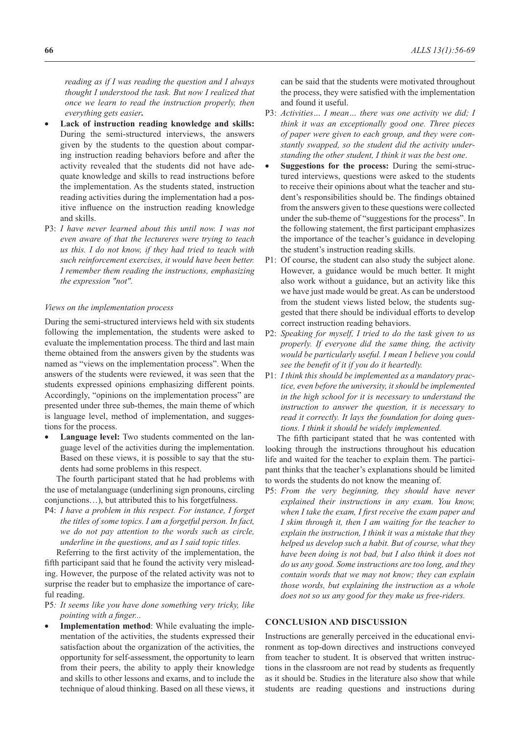*reading as if I was reading the question and I always thought I understood the task. But now I realized that once we learn to read the instruction properly, then everything gets easier.*

- Lack of instruction reading knowledge and skills: During the semi-structured interviews, the answers given by the students to the question about comparing instruction reading behaviors before and after the activity revealed that the students did not have adequate knowledge and skills to read instructions before the implementation. As the students stated, instruction reading activities during the implementation had a positive influence on the instruction reading knowledge and skills.
- P3: *I have never learned about this until now. I was not even aware of that the lectureres were trying to teach us this. I do not know, if they had tried to teach with such reinforcement exercises, it would have been better. I remember them reading the instructions, emphasizing the expression "not".*

#### *Views on the implementation process*

During the semi-structured interviews held with six students following the implementation, the students were asked to evaluate the implementation process. The third and last main theme obtained from the answers given by the students was named as "views on the implementation process". When the answers of the students were reviewed, it was seen that the students expressed opinions emphasizing different points. Accordingly, "opinions on the implementation process" are presented under three sub-themes, the main theme of which is language level, method of implementation, and suggestions for the process.

**Language level:** Two students commented on the language level of the activities during the implementation. Based on these views, it is possible to say that the students had some problems in this respect.

The fourth participant stated that he had problems with the use of metalanguage (underlining sign pronouns, circling conjunctions…), but attributed this to his forgetfulness.

P4: *I have a problem in this respect. For instance, I forget the titles of some topics. I am a forgetful person. In fact, we do not pay attention to the words such as circle, underline in the questions, and as I said topic titles.*

Referring to the first activity of the implementation, the fifth participant said that he found the activity very misleading. However, the purpose of the related activity was not to surprise the reader but to emphasize the importance of careful reading.

- P5*: It seems like you have done something very tricky, like pointing with a finger...*
- **Implementation method**: While evaluating the implementation of the activities, the students expressed their satisfaction about the organization of the activities, the opportunity for self-assessment, the opportunity to learn from their peers, the ability to apply their knowledge and skills to other lessons and exams, and to include the technique of aloud thinking. Based on all these views, it

can be said that the students were motivated throughout the process, they were satisfied with the implementation and found it useful.

- P3: *Activities… I mean… there was one activity we did; I think it was an exceptionally good one. Three pieces of paper were given to each group, and they were constantly swapped, so the student did the activity understanding the other student, I think it was the best one*.
- **Suggestions for the process: During the semi-struc**tured interviews, questions were asked to the students to receive their opinions about what the teacher and student's responsibilities should be. The findings obtained from the answers given to these questions were collected under the sub-theme of "suggestions for the process". In the following statement, the first participant emphasizes the importance of the teacher's guidance in developing the student's instruction reading skills.
- P1: Of course, the student can also study the subject alone. However, a guidance would be much better. It might also work without a guidance, but an activity like this we have just made would be great. As can be understood from the student views listed below, the students suggested that there should be individual efforts to develop correct instruction reading behaviors.
- P2: *Speaking for myself, I tried to do the task given to us properly. If everyone did the same thing, the activity would be particularly useful. I mean I believe you could see the benefit of it if you do it heartedly.*
- P1: *I think this should be implemented as a mandatory practice, even before the university, it should be implemented in the high school for it is necessary to understand the instruction to answer the question, it is necessary to read it correctly. It lays the foundation for doing questions. I think it should be widely implemented.*

The fifth participant stated that he was contented with looking through the instructions throughout his education life and waited for the teacher to explain them. The participant thinks that the teacher's explanations should be limited to words the students do not know the meaning of.

P5: *From the very beginning, they should have never explained their instructions in any exam. You know, when I take the exam, I first receive the exam paper and I skim through it, then I am waiting for the teacher to explain the instruction, I think it was a mistake that they helped us develop such a habit. But of course, what they have been doing is not bad, but I also think it does not do us any good. Some instructions are too long, and they contain words that we may not know; they can explain those words, but explaining the instruction as a whole does not so us any good for they make us free-riders.*

#### **CONCLUSION AND DISCUSSION**

Instructions are generally perceived in the educational environment as top-down directives and instructions conveyed from teacher to student. It is observed that written instructions in the classroom are not read by students as frequently as it should be. Studies in the literature also show that while students are reading questions and instructions during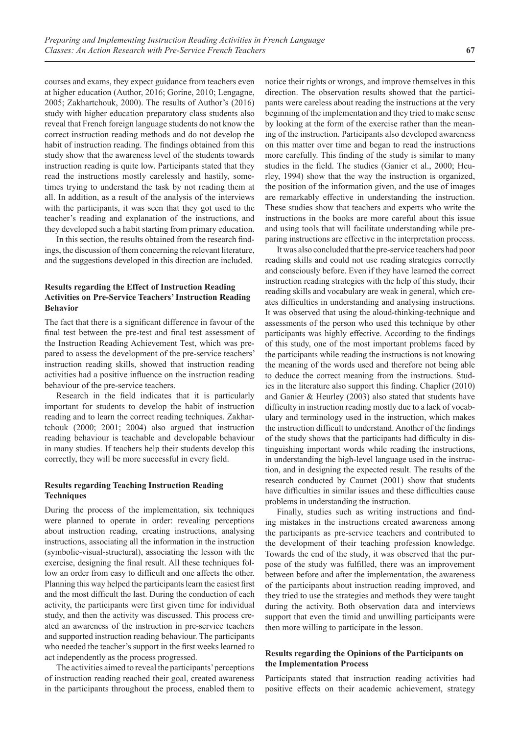courses and exams, they expect guidance from teachers even at higher education (Author, 2016; Gorine, 2010; Lengagne, 2005; Zakhartchouk, 2000). The results of Author's (2016) study with higher education preparatory class students also reveal that French foreign language students do not know the correct instruction reading methods and do not develop the habit of instruction reading. The findings obtained from this study show that the awareness level of the students towards instruction reading is quite low. Participants stated that they read the instructions mostly carelessly and hastily, sometimes trying to understand the task by not reading them at all. In addition, as a result of the analysis of the interviews with the participants, it was seen that they got used to the teacher's reading and explanation of the instructions, and they developed such a habit starting from primary education.

In this section, the results obtained from the research findings, the discussion of them concerning the relevant literature, and the suggestions developed in this direction are included.

# **Results regarding the Effect of Instruction Reading Activities on Pre-Service Teachers' Instruction Reading Behavior**

The fact that there is a significant difference in favour of the final test between the pre-test and final test assessment of the Instruction Reading Achievement Test, which was prepared to assess the development of the pre-service teachers' instruction reading skills, showed that instruction reading activities had a positive influence on the instruction reading behaviour of the pre-service teachers.

Research in the field indicates that it is particularly important for students to develop the habit of instruction reading and to learn the correct reading techniques. Zakhartchouk (2000; 2001; 2004) also argued that instruction reading behaviour is teachable and developable behaviour in many studies. If teachers help their students develop this correctly, they will be more successful in every field.

# **Results regarding Teaching Instruction Reading Techniques**

During the process of the implementation, six techniques were planned to operate in order: revealing perceptions about instruction reading, creating instructions, analysing instructions, associating all the information in the instruction (symbolic-visual-structural), associating the lesson with the exercise, designing the final result. All these techniques follow an order from easy to difficult and one affects the other. Planning this way helped the participants learn the easiest first and the most difficult the last. During the conduction of each activity, the participants were first given time for individual study, and then the activity was discussed. This process created an awareness of the instruction in pre-service teachers and supported instruction reading behaviour. The participants who needed the teacher's support in the first weeks learned to act independently as the process progressed.

The activities aimed to reveal the participants' perceptions of instruction reading reached their goal, created awareness in the participants throughout the process, enabled them to

notice their rights or wrongs, and improve themselves in this direction. The observation results showed that the participants were careless about reading the instructions at the very beginning of the implementation and they tried to make sense by looking at the form of the exercise rather than the meaning of the instruction. Participants also developed awareness on this matter over time and began to read the instructions more carefully. This finding of the study is similar to many studies in the field. The studies (Ganier et al., 2000; Heurley, 1994) show that the way the instruction is organized, the position of the information given, and the use of images are remarkably effective in understanding the instruction. These studies show that teachers and experts who write the instructions in the books are more careful about this issue and using tools that will facilitate understanding while preparing instructions are effective in the interpretation process.

It was also concluded that the pre-service teachers had poor reading skills and could not use reading strategies correctly and consciously before. Even if they have learned the correct instruction reading strategies with the help of this study, their reading skills and vocabulary are weak in general, which creates difficulties in understanding and analysing instructions. It was observed that using the aloud-thinking-technique and assessments of the person who used this technique by other participants was highly effective. According to the findings of this study, one of the most important problems faced by the participants while reading the instructions is not knowing the meaning of the words used and therefore not being able to deduce the correct meaning from the instructions. Studies in the literature also support this finding. Chaplier (2010) and Ganier & Heurley (2003) also stated that students have difficulty in instruction reading mostly due to a lack of vocabulary and terminology used in the instruction, which makes the instruction difficult to understand. Another of the findings of the study shows that the participants had difficulty in distinguishing important words while reading the instructions, in understanding the high-level language used in the instruction, and in designing the expected result. The results of the research conducted by Caumet (2001) show that students have difficulties in similar issues and these difficulties cause problems in understanding the instruction.

Finally, studies such as writing instructions and finding mistakes in the instructions created awareness among the participants as pre-service teachers and contributed to the development of their teaching profession knowledge. Towards the end of the study, it was observed that the purpose of the study was fulfilled, there was an improvement between before and after the implementation, the awareness of the participants about instruction reading improved, and they tried to use the strategies and methods they were taught during the activity. Both observation data and interviews support that even the timid and unwilling participants were then more willing to participate in the lesson.

# **Results regarding the Opinions of the Participants on the Implementation Process**

Participants stated that instruction reading activities had positive effects on their academic achievement, strategy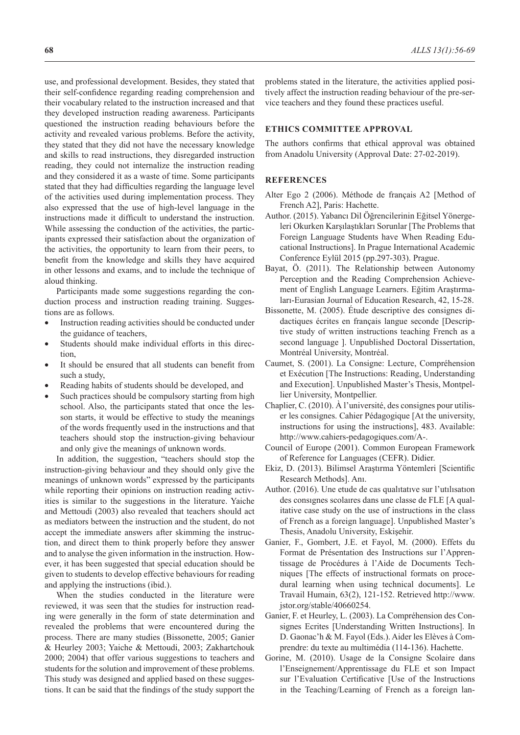use, and professional development. Besides, they stated that their self-confidence regarding reading comprehension and their vocabulary related to the instruction increased and that they developed instruction reading awareness. Participants questioned the instruction reading behaviours before the activity and revealed various problems. Before the activity, they stated that they did not have the necessary knowledge and skills to read instructions, they disregarded instruction reading, they could not internalize the instruction reading and they considered it as a waste of time. Some participants stated that they had difficulties regarding the language level of the activities used during implementation process. They also expressed that the use of high-level language in the instructions made it difficult to understand the instruction. While assessing the conduction of the activities, the participants expressed their satisfaction about the organization of the activities, the opportunity to learn from their peers, to benefit from the knowledge and skills they have acquired in other lessons and exams, and to include the technique of aloud thinking.

Participants made some suggestions regarding the conduction process and instruction reading training. Suggestions are as follows.

- Instruction reading activities should be conducted under the guidance of teachers,
- Students should make individual efforts in this direction,
- It should be ensured that all students can benefit from such a study,
- Reading habits of students should be developed, and
- Such practices should be compulsory starting from high school. Also, the participants stated that once the lesson starts, it would be effective to study the meanings of the words frequently used in the instructions and that teachers should stop the instruction-giving behaviour and only give the meanings of unknown words.

In addition, the suggestion, "teachers should stop the instruction-giving behaviour and they should only give the meanings of unknown words" expressed by the participants while reporting their opinions on instruction reading activities is similar to the suggestions in the literature. Yaiche and Mettoudi (2003) also revealed that teachers should act as mediators between the instruction and the student, do not accept the immediate answers after skimming the instruction, and direct them to think properly before they answer and to analyse the given information in the instruction. However, it has been suggested that special education should be given to students to develop effective behaviours for reading and applying the instructions (ibid.).

When the studies conducted in the literature were reviewed, it was seen that the studies for instruction reading were generally in the form of state determination and revealed the problems that were encountered during the process. There are many studies (Bissonette, 2005; Ganier & Heurley 2003; Yaiche & Mettoudi, 2003; Zakhartchouk 2000; 2004) that offer various suggestions to teachers and students for the solution and improvement of these problems. This study was designed and applied based on these suggestions. It can be said that the findings of the study support the

problems stated in the literature, the activities applied positively affect the instruction reading behaviour of the pre-service teachers and they found these practices useful.

### **ETHICS COMMITTEE APPROVAL**

The authors confirms that ethical approval was obtained from Anadolu University (Approval Date: 27-02-2019).

# **REFERENCES**

- Alter Ego 2 (2006). Méthode de français A2 [Method of French A2], Paris: Hachette.
- Author. (2015). Yabancı Dil Öğrencilerinin Eğitsel Yönergeleri Okurken Karşılaştıkları Sorunlar [The Problems that Foreign Language Students have When Reading Educational Instructions]. In Prague International Academic Conference Eylül 2015 (pp.297-303). Prague.
- Bayat, Ö. (2011). The Relationship between Autonomy Perception and the Reading Comprehension Achievement of English Language Learners. Eğitim Araştırmaları-Eurasian Journal of Education Research, 42, 15-28.
- Bissonette, M. (2005). Étude descriptive des consignes didactiques écrites en français langue seconde [Descriptive study of written instructions teaching French as a second language ]. Unpublished Doctoral Dissertation, Montréal University, Montréal.
- Caumet, S. (2001). La Consigne: Lecture, Compréhension et Exécution [The Instructions: Reading, Understanding and Execution]. Unpublished Master's Thesis, Montpellier University, Montpellier.
- Chaplier, C. (2010). À l'université, des consignes pour utiliser les consignes. Cahier Pédagogique [At the university, instructions for using the instructions], 483. Available: http://www.cahiers-pedagogiques.com/A-.
- Council of Europe (2001). Common European Framework of Reference for Languages (CEFR). Didier.
- Ekiz, D. (2013). Bilimsel Araştırma Yöntemleri [Scientific Research Methods]. Anı.
- Author. (2016). Une etude de cas qualıtatıve sur l'utılısatıon des consıgnes scolaıres dans une classe de FLE [A qualitative case study on the use of instructions in the class of French as a foreign language]. Unpublished Master's Thesis, Anadolu University, Eskişehir.
- Ganier, F., Gombert, J.E. et Fayol, M. (2000). Effets du Format de Présentation des Instructions sur l'Apprentissage de Procédures à l'Aide de Documents Techniques [The effects of instructional formats on procedural learning when using technical documents]. Le Travail Humain, 63(2), 121-152. Retrieved http://www. jstor.org/stable/40660254.
- Ganier, F. et Heurley, L. (2003). La Compréhension des Consignes Ecrites [Understanding Written Instructions]. In D. Gaonac'h & M. Fayol (Eds.). Aider les Elèves à Comprendre: du texte au multimédia (114-136). Hachette.
- Gorine, M. (2010). Usage de la Consigne Scolaire dans l'Enseignement/Apprentissage du FLE et son Impact sur l'Evaluation Certificative [Use of the Instructions in the Teaching/Learning of French as a foreign lan-